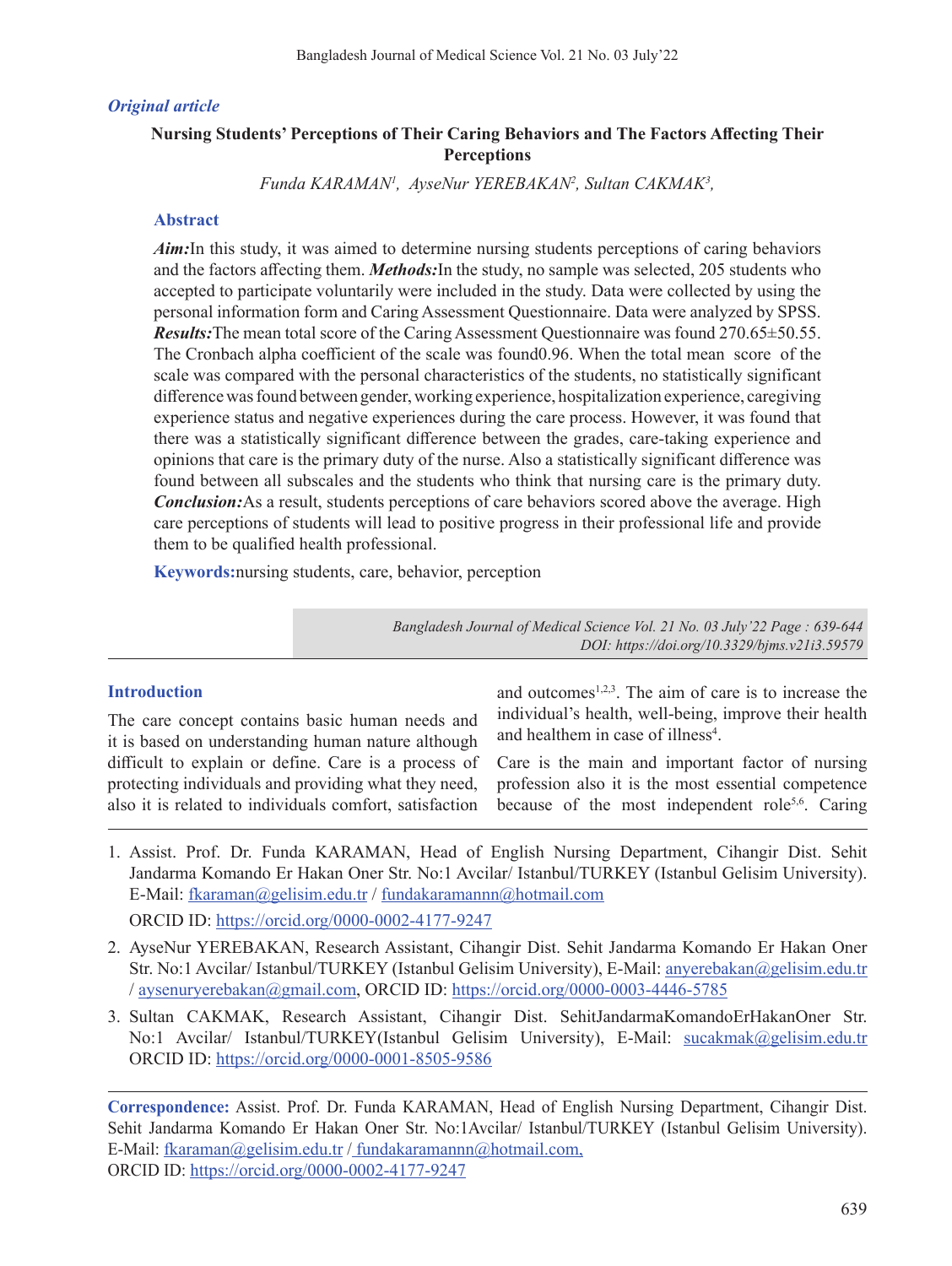## *Original article*

# **Nursing Students' Perceptions of Their Caring Behaviors and The Factors Affecting Their Perceptions**

*Funda KARAMAN1 , AyseNur YEREBAKAN2 , Sultan CAKMAK3 ,*

## **Abstract**

*Aim*: In this study, it was aimed to determine nursing students perceptions of caring behaviors and the factors affecting them. *Methods:*In the study, no sample was selected, 205 students who accepted to participate voluntarily were included in the study. Data were collected by using the personal information form and Caring Assessment Questionnaire. Data were analyzed by SPSS. *Results:*The mean total score of the Caring Assessment Questionnaire was found 270.65±50.55. The Cronbach alpha coefficient of the scale was found0.96. When the total mean score of the scale was compared with the personal characteristics of the students, no statistically significant difference was found between gender, working experience, hospitalization experience, caregiving experience status and negative experiences during the care process. However, it was found that there was a statistically significant difference between the grades, care-taking experience and opinions that care is the primary duty of the nurse. Also a statistically significant difference was found between all subscales and the students who think that nursing care is the primary duty. *Conclusion:*As a result, students perceptions of care behaviors scored above the average. High care perceptions of students will lead to positive progress in their professional life and provide them to be qualified health professional.

**Keywords:**nursing students, care, behavior, perception

*Bangladesh Journal of Medical Science Vol. 21 No. 03 July'22 Page : 639-644 DOI: https://doi.org/10.3329/bjms.v21i3.59579*

### **Introduction**

The care concept contains basic human needs and it is based on understanding human nature although difficult to explain or define. Care is a process of protecting individuals and providing what they need, also it is related to individuals comfort, satisfaction and outcomes $1,2,3$ . The aim of care is to increase the individual's health, well-being, improve their health and healthem in case of illness<sup>4</sup>.

Care is the main and important factor of nursing profession also it is the most essential competence because of the most independent role<sup>5,6</sup>. Caring

- 1. Assist. Prof. Dr. Funda KARAMAN, Head of English Nursing Department, Cihangir Dist. Sehit Jandarma Komando Er Hakan Oner Str. No:1 Avcilar/ Istanbul/TURKEY (Istanbul Gelisim University). E-Mail: fkaraman@gelisim.edu.tr / fundakaramannn@hotmail.com ORCID ID: https://orcid.org/0000-0002-4177-9247
- 2. AyseNur YEREBAKAN, Research Assistant, Cihangir Dist. Sehit Jandarma Komando Er Hakan Oner Str. No:1 Avcilar/ Istanbul/TURKEY (Istanbul Gelisim University), E-Mail: anyerebakan@gelisim.edu.tr / aysenuryerebakan@gmail.com, ORCID ID: https://orcid.org/0000-0003-4446-5785
- 3. Sultan CAKMAK, Research Assistant, Cihangir Dist. SehitJandarmaKomandoErHakanOner Str. No:1 Avcilar/ Istanbul/TURKEY(Istanbul Gelisim University), E-Mail: sucakmak@gelisim.edu.tr ORCID ID: https://orcid.org/0000-0001-8505-9586

**Correspondence:** Assist. Prof. Dr. Funda KARAMAN, Head of English Nursing Department, Cihangir Dist. Sehit Jandarma Komando Er Hakan Oner Str. No:1Avcilar/ Istanbul/TURKEY (Istanbul Gelisim University). E-Mail: fkaraman@gelisim.edu.tr / fundakaramannn@hotmail.com, ORCID ID: https://orcid.org/0000-0002-4177-9247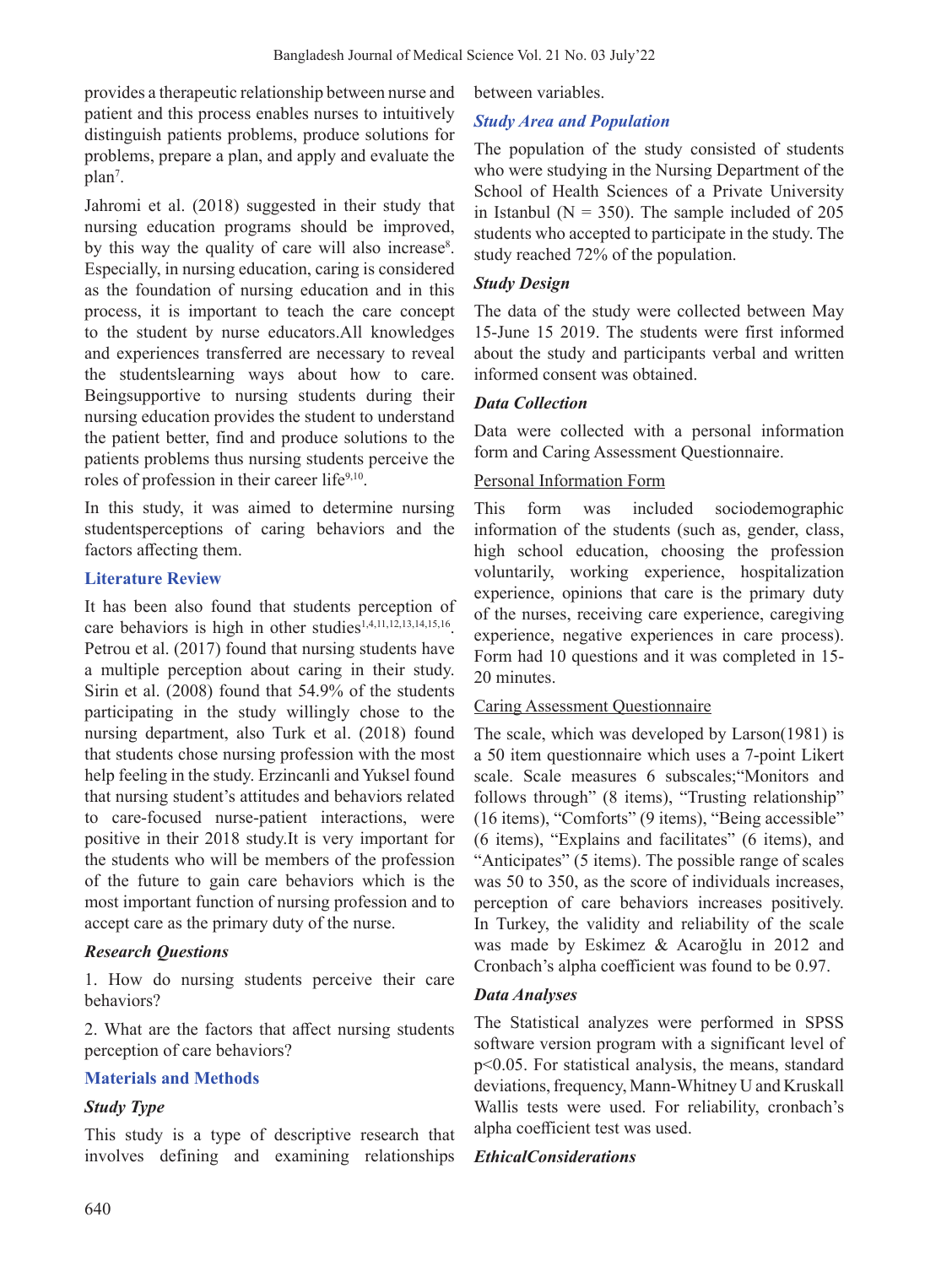provides a therapeutic relationship between nurse and patient and this process enables nurses to intuitively distinguish patients problems, produce solutions for problems, prepare a plan, and apply and evaluate the plan<sup>7</sup>.

Jahromi et al. (2018) suggested in their study that nursing education programs should be improved, by this way the quality of care will also increase<sup>8</sup>. Especially, in nursing education, caring is considered as the foundation of nursing education and in this process, it is important to teach the care concept to the student by nurse educators.All knowledges and experiences transferred are necessary to reveal the studentslearning ways about how to care. Beingsupportive to nursing students during their nursing education provides the student to understand the patient better, find and produce solutions to the patients problems thus nursing students perceive the roles of profession in their career life<sup>9,10</sup>.

In this study, it was aimed to determine nursing studentsperceptions of caring behaviors and the factors affecting them.

### **Literature Review**

It has been also found that students perception of care behaviors is high in other studies<sup>1,4,11,12,13,14,15,16</sup>. Petrou et al. (2017) found that nursing students have a multiple perception about caring in their study. Sirin et al. (2008) found that 54.9% of the students participating in the study willingly chose to the nursing department, also Turk et al. (2018) found that students chose nursing profession with the most help feeling in the study. Erzincanli and Yuksel found that nursing student's attitudes and behaviors related to care-focused nurse-patient interactions, were positive in their 2018 study.It is very important for the students who will be members of the profession of the future to gain care behaviors which is the most important function of nursing profession and to accept care as the primary duty of the nurse.

#### *Research Questions*

1. How do nursing students perceive their care behaviors?

2. What are the factors that affect nursing students perception of care behaviors?

#### **Materials and Methods**

#### *Study Type*

This study is a type of descriptive research that involves defining and examining relationships between variables.

## *Study Area and Population*

The population of the study consisted of students who were studying in the Nursing Department of the School of Health Sciences of a Private University in Istanbul ( $N = 350$ ). The sample included of 205 students who accepted to participate in the study. The study reached 72% of the population.

## *Study Design*

The data of the study were collected between May 15-June 15 2019. The students were first informed about the study and participants verbal and written informed consent was obtained.

### *Data Collection*

Data were collected with a personal information form and Caring Assessment Questionnaire.

### Personal Information Form

This form was included sociodemographic information of the students (such as, gender, class, high school education, choosing the profession voluntarily, working experience, hospitalization experience, opinions that care is the primary duty of the nurses, receiving care experience, caregiving experience, negative experiences in care process). Form had 10 questions and it was completed in 15- 20 minutes.

### Caring Assessment Questionnaire

The scale, which was developed by Larson(1981) is a 50 item questionnaire which uses a 7-point Likert scale. Scale measures 6 subscales;"Monitors and follows through" (8 items), "Trusting relationship" (16 items), "Comforts" (9 items), "Being accessible" (6 items), "Explains and facilitates" (6 items), and "Anticipates" (5 items). The possible range of scales was 50 to 350, as the score of individuals increases, perception of care behaviors increases positively. In Turkey, the validity and reliability of the scale was made by Eskimez & Acaroğlu in 2012 and Cronbach's alpha coefficient was found to be 0.97.

### *Data Analyses*

The Statistical analyzes were performed in SPSS software version program with a significant level of p<0.05. For statistical analysis, the means, standard deviations, frequency, Mann-Whitney U and Kruskall Wallis tests were used. For reliability, cronbach's alpha coefficient test was used.

### *EthicalConsiderations*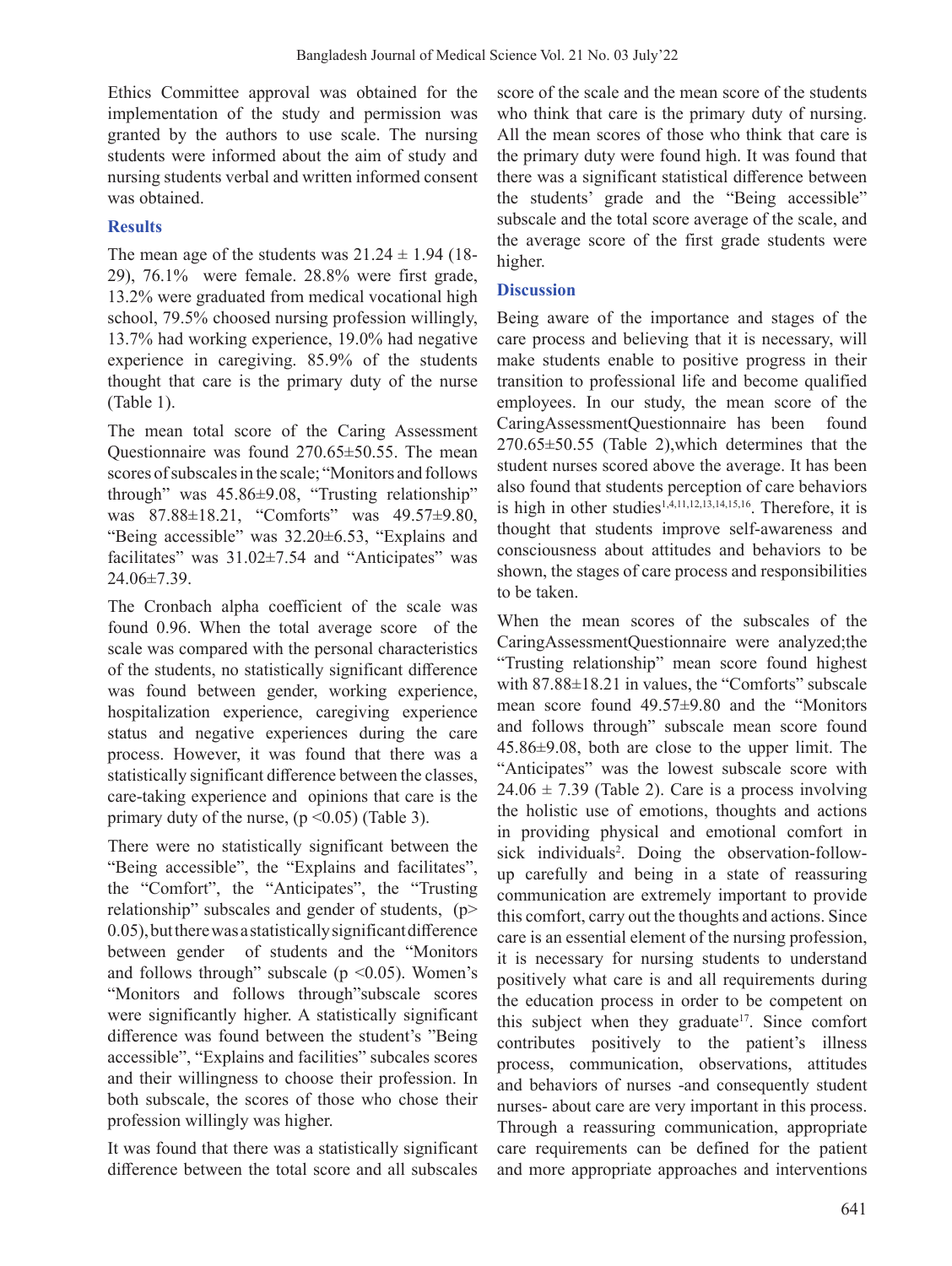Ethics Committee approval was obtained for the implementation of the study and permission was granted by the authors to use scale. The nursing students were informed about the aim of study and nursing students verbal and written informed consent was obtained.

# **Results**

The mean age of the students was  $21.24 \pm 1.94$  (18-29), 76.1% were female. 28.8% were first grade, 13.2% were graduated from medical vocational high school, 79.5% choosed nursing profession willingly, 13.7% had working experience, 19.0% had negative experience in caregiving. 85.9% of the students thought that care is the primary duty of the nurse (Table 1).

The mean total score of the Caring Assessment Questionnaire was found 270.65±50.55. The mean scores of subscales in the scale; "Monitors and follows through" was 45.86±9.08, "Trusting relationship" was 87.88±18.21, "Comforts" was 49.57±9.80, "Being accessible" was 32.20±6.53, "Explains and facilitates" was  $31.02\pm7.54$  and "Anticipates" was  $24.06 \pm 7.39$ .

The Cronbach alpha coefficient of the scale was found 0.96. When the total average score of the scale was compared with the personal characteristics of the students, no statistically significant difference was found between gender, working experience, hospitalization experience, caregiving experience status and negative experiences during the care process. However, it was found that there was a statistically significant difference between the classes, care-taking experience and opinions that care is the primary duty of the nurse,  $(p \le 0.05)$  (Table 3).

There were no statistically significant between the "Being accessible", the "Explains and facilitates", the "Comfort", the "Anticipates", the "Trusting relationship" subscales and gender of students, (p> 0.05),buttherewasastatisticallysignificantdifference between gender of students and the "Monitors and follows through" subscale ( $p \le 0.05$ ). Women's "Monitors and follows through"subscale scores were significantly higher. A statistically significant difference was found between the student's "Being accessible", "Explains and facilities" subcales scores and their willingness to choose their profession. In both subscale, the scores of those who chose their profession willingly was higher.

It was found that there was a statistically significant difference between the total score and all subscales score of the scale and the mean score of the students who think that care is the primary duty of nursing. All the mean scores of those who think that care is the primary duty were found high. It was found that there was a significant statistical difference between the students' grade and the "Being accessible" subscale and the total score average of the scale, and the average score of the first grade students were higher.

## **Discussion**

Being aware of the importance and stages of the care process and believing that it is necessary, will make students enable to positive progress in their transition to professional life and become qualified employees. In our study, the mean score of the CaringAssessmentQuestionnaire has been found 270.65±50.55 (Table 2),which determines that the student nurses scored above the average. It has been also found that students perception of care behaviors is high in other studies<sup>1,4,11,12,13,14,15,16</sup>. Therefore, it is thought that students improve self-awareness and consciousness about attitudes and behaviors to be shown, the stages of care process and responsibilities to be taken.

When the mean scores of the subscales of the CaringAssessmentQuestionnaire were analyzed;the "Trusting relationship" mean score found highest with 87.88±18.21 in values, the "Comforts" subscale mean score found 49.57±9.80 and the "Monitors and follows through" subscale mean score found 45.86±9.08, both are close to the upper limit. The "Anticipates" was the lowest subscale score with  $24.06 \pm 7.39$  (Table 2). Care is a process involving the holistic use of emotions, thoughts and actions in providing physical and emotional comfort in sick individuals<sup>2</sup> . Doing the observation-followup carefully and being in a state of reassuring communication are extremely important to provide this comfort, carry out the thoughts and actions. Since care is an essential element of the nursing profession, it is necessary for nursing students to understand positively what care is and all requirements during the education process in order to be competent on this subject when they graduate<sup>17</sup>. Since comfort contributes positively to the patient's illness process, communication, observations, attitudes and behaviors of nurses -and consequently student nurses- about care are very important in this process. Through a reassuring communication, appropriate care requirements can be defined for the patient and more appropriate approaches and interventions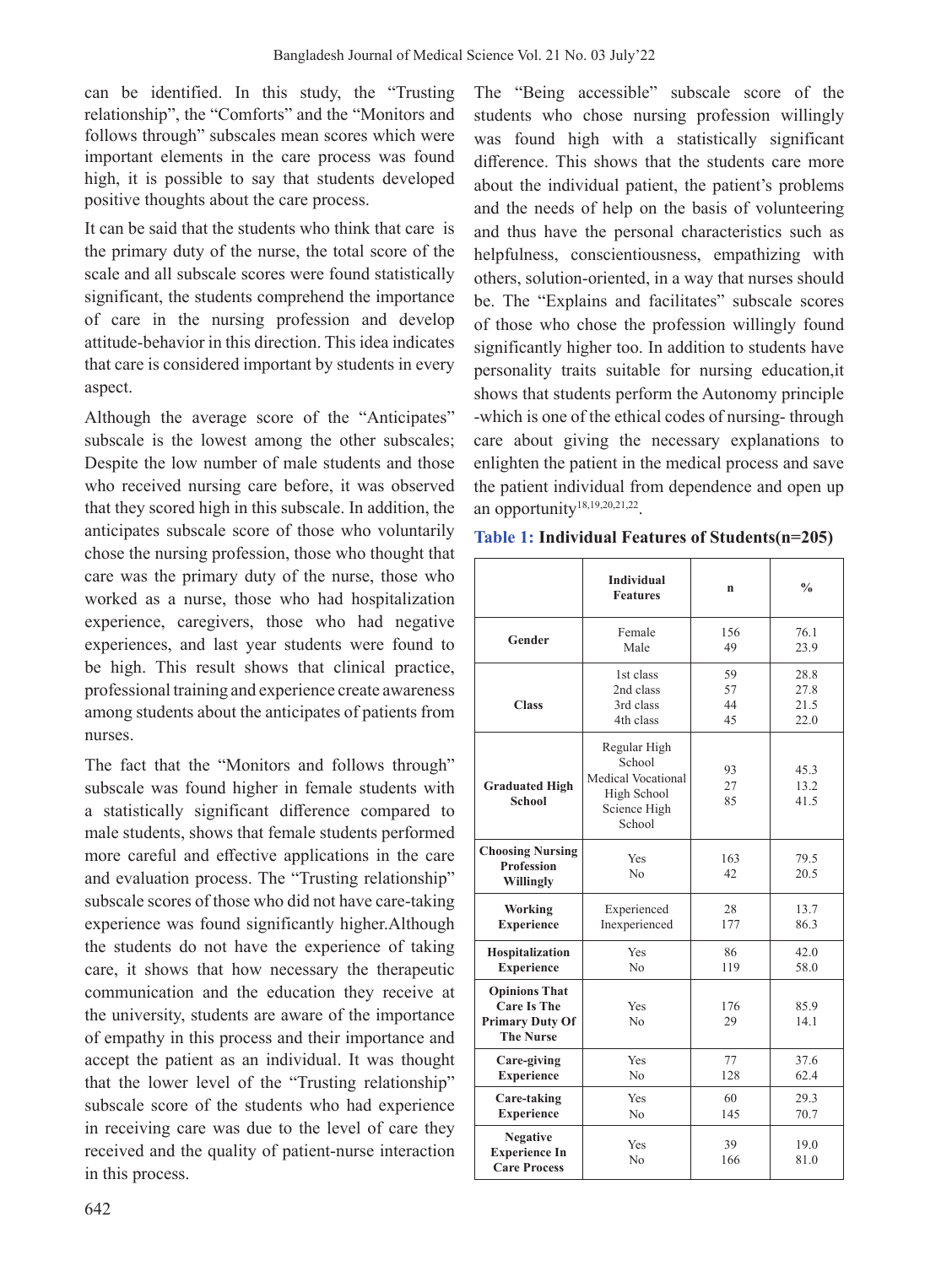can be identified. In this study, the "Trusting relationship", the "Comforts" and the "Monitors and follows through" subscales mean scores which were important elements in the care process was found high, it is possible to say that students developed positive thoughts about the care process.

It can be said that the students who think that care is the primary duty of the nurse, the total score of the scale and all subscale scores were found statistically significant, the students comprehend the importance of care in the nursing profession and develop attitude-behavior in this direction. This idea indicates that care is considered important by students in every aspect.

Although the average score of the "Anticipates" subscale is the lowest among the other subscales; Despite the low number of male students and those who received nursing care before, it was observed that they scored high in this subscale. In addition, the anticipates subscale score of those who voluntarily chose the nursing profession, those who thought that care was the primary duty of the nurse, those who worked as a nurse, those who had hospitalization experience, caregivers, those who had negative experiences, and last year students were found to be high. This result shows that clinical practice, professional training and experience create awareness among students about the anticipates of patients from nurses.

The fact that the "Monitors and follows through" subscale was found higher in female students with a statistically significant difference compared to male students, shows that female students performed more careful and effective applications in the care and evaluation process. The "Trusting relationship" subscale scores of those who did not have care-taking experience was found significantly higher.Although the students do not have the experience of taking care, it shows that how necessary the therapeutic communication and the education they receive at the university, students are aware of the importance of empathy in this process and their importance and accept the patient as an individual. It was thought that the lower level of the "Trusting relationship" subscale score of the students who had experience in receiving care was due to the level of care they received and the quality of patient-nurse interaction in this process.

The "Being accessible" subscale score of the students who chose nursing profession willingly was found high with a statistically significant difference. This shows that the students care more about the individual patient, the patient's problems and the needs of help on the basis of volunteering and thus have the personal characteristics such as helpfulness, conscientiousness, empathizing with others, solution-oriented, in a way that nurses should be. The "Explains and facilitates" subscale scores of those who chose the profession willingly found significantly higher too. In addition to students have personality traits suitable for nursing education,it shows that students perform the Autonomy principle -which is one of the ethical codes of nursing- through care about giving the necessary explanations to enlighten the patient in the medical process and save the patient individual from dependence and open up an opportunity<sup>18,19,20,21,22</sup>.

|  |  |  |  | Table 1: Individual Features of Students(n=205) |  |
|--|--|--|--|-------------------------------------------------|--|
|--|--|--|--|-------------------------------------------------|--|

|                                                                                          | <b>Individual</b><br><b>Features</b>                                                  | $\mathbf n$    | $\frac{0}{0}$        |  |
|------------------------------------------------------------------------------------------|---------------------------------------------------------------------------------------|----------------|----------------------|--|
| Gender                                                                                   | Female                                                                                | 156            | 76.1                 |  |
|                                                                                          | Male                                                                                  | 49             | 23.9                 |  |
| <b>Class</b>                                                                             | 1st class                                                                             | 59             | 28.8                 |  |
|                                                                                          | 2nd class                                                                             | 57             | 27.8                 |  |
|                                                                                          | 3rd class                                                                             | 44             | 21.5                 |  |
|                                                                                          | 4th class                                                                             | 45             | 22.0                 |  |
| <b>Graduated High</b><br><b>School</b>                                                   | Regular High<br>School<br>Medical Vocational<br>High School<br>Science High<br>School | 93<br>27<br>85 | 45.3<br>13.2<br>41.5 |  |
| <b>Choosing Nursing</b><br><b>Profession</b><br>Willingly                                | Yes<br>N <sub>0</sub>                                                                 | 163<br>42      | 79.5<br>20.5         |  |
| Working                                                                                  | Experienced                                                                           | 28             | 13.7                 |  |
| <b>Experience</b>                                                                        | Inexperienced                                                                         | 177            | 86.3                 |  |
| Hospitalization                                                                          | Yes                                                                                   | 86             | 42.0                 |  |
| <b>Experience</b>                                                                        | N <sub>0</sub>                                                                        | 119            | 58.0                 |  |
| <b>Opinions That</b><br><b>Care Is The</b><br><b>Primary Duty Of</b><br><b>The Nurse</b> | Yes<br>N <sub>0</sub>                                                                 | 176<br>29      | 85.9<br>14.1         |  |
| Care-giving                                                                              | Yes                                                                                   | 77             | 37.6                 |  |
| <b>Experience</b>                                                                        | No                                                                                    | 128            | 62.4                 |  |
| Care-taking                                                                              | Yes                                                                                   | 60             | 29.3                 |  |
| <b>Experience</b>                                                                        | No                                                                                    | 145            | 70.7                 |  |
| <b>Negative</b><br><b>Experience In</b><br><b>Care Process</b>                           | Yes<br>N <sub>0</sub>                                                                 | 39<br>166      | 19.0<br>81.0         |  |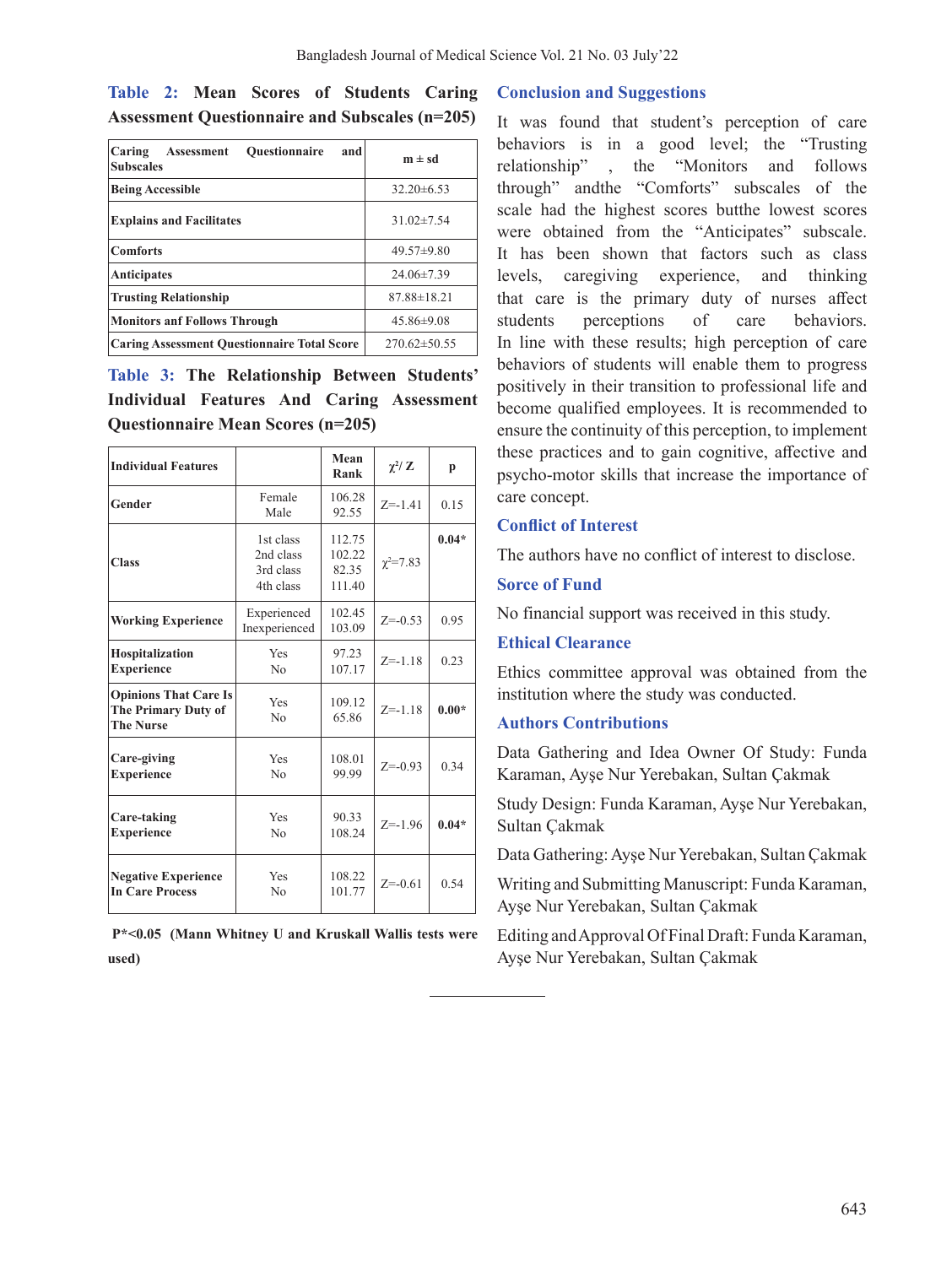|  |  | Table 2: Mean Scores of Students Caring               |  |
|--|--|-------------------------------------------------------|--|
|  |  | <b>Assessment Questionnaire and Subscales (n=205)</b> |  |

| Caring<br><b>Ouestionnaire</b><br>and<br><b>Assessment</b><br><b>Subscales</b> | $m \pm sd$         |
|--------------------------------------------------------------------------------|--------------------|
| <b>Being Accessible</b>                                                        | $32.20\pm 6.53$    |
| <b>Explains and Facilitates</b>                                                | $31.02 \pm 7.54$   |
| <b>Comforts</b>                                                                | $49.57 \pm 9.80$   |
| <b>Anticipates</b>                                                             | $24.06 \pm 7.39$   |
| <b>Trusting Relationship</b>                                                   | $87.88 \pm 18.21$  |
| <b>Monitors anf Follows Through</b>                                            | $45.86\pm9.08$     |
| <b>Caring Assessment Questionnaire Total Score</b>                             | $270.62 \pm 50.55$ |

**Table 3: The Relationship Between Students' Individual Features And Caring Assessment Questionnaire Mean Scores (n=205)**

| <b>Individual Features</b>                                              |                                                  | Mean<br>Rank                        | $\chi^2$ / Z    | p       |
|-------------------------------------------------------------------------|--------------------------------------------------|-------------------------------------|-----------------|---------|
| Gender                                                                  | Female<br>Male                                   | 106.28<br>92.55                     | $Z = -1.41$     | 0.15    |
| <b>Class</b>                                                            | 1st class<br>2nd class<br>3rd class<br>4th class | 112.75<br>102.22<br>82.35<br>111.40 | $\chi^2 = 7.83$ | $0.04*$ |
| <b>Working Experience</b>                                               | Experienced<br>Inexperienced                     | 102.45<br>103.09                    | $Z = -0.53$     | 0.95    |
| Hospitalization<br><b>Experience</b>                                    | Yes<br>No                                        | 97.23<br>107.17                     |                 | 0.23    |
| <b>Opinions That Care Is</b><br>The Primary Duty of<br><b>The Nurse</b> | Yes<br>109.12<br>65.86<br>No                     |                                     | $Z = -1.18$     | $0.00*$ |
| Care-giving<br><b>Experience</b>                                        | Yes<br>108.01<br>No<br>99.99                     |                                     | $Z = -0.93$     | 0.34    |
| Care-taking<br><b>Experience</b>                                        | Yes<br>N <sub>0</sub>                            | 90.33<br>108.24                     | $Z = -1.96$     | $0.04*$ |
| <b>Negative Experience</b><br><b>In Care Process</b>                    | Yes<br>No                                        | 108.22<br>101.77                    | $Z = -0.61$     | 0.54    |

| $P^*$ <0.05 (Mann Whitney U and Kruskall Wallis tests were |  |  |  |  |
|------------------------------------------------------------|--|--|--|--|
| used)                                                      |  |  |  |  |

#### **Conclusion and Suggestions**

It was found that student's perception of care behaviors is in a good level; the "Trusting relationship" , the "Monitors and follows through" andthe "Comforts" subscales of the scale had the highest scores butthe lowest scores were obtained from the "Anticipates" subscale. It has been shown that factors such as class levels, caregiving experience, and thinking that care is the primary duty of nurses affect students perceptions of care behaviors. In line with these results; high perception of care behaviors of students will enable them to progress positively in their transition to professional life and become qualified employees. It is recommended to ensure the continuity of this perception, to implement these practices and to gain cognitive, affective and psycho-motor skills that increase the importance of care concept.

#### **Conflict of Interest**

The authors have no conflict of interest to disclose.

#### **Sorce of Fund**

No financial support was received in this study.

#### **Ethical Clearance**

Ethics committee approval was obtained from the institution where the study was conducted.

## **Authors Contributions**

Data Gathering and Idea Owner Of Study: Funda Karaman, Ayşe Nur Yerebakan, Sultan Çakmak

Study Design: Funda Karaman, Ayşe Nur Yerebakan, Sultan Çakmak

Data Gathering:Ayşe Nur Yerebakan, Sultan Çakmak

Writing and Submitting Manuscript: Funda Karaman, Ayşe Nur Yerebakan, Sultan Çakmak

Editing andApproval Of Final Draft: Funda Karaman, Ayşe Nur Yerebakan, Sultan Çakmak